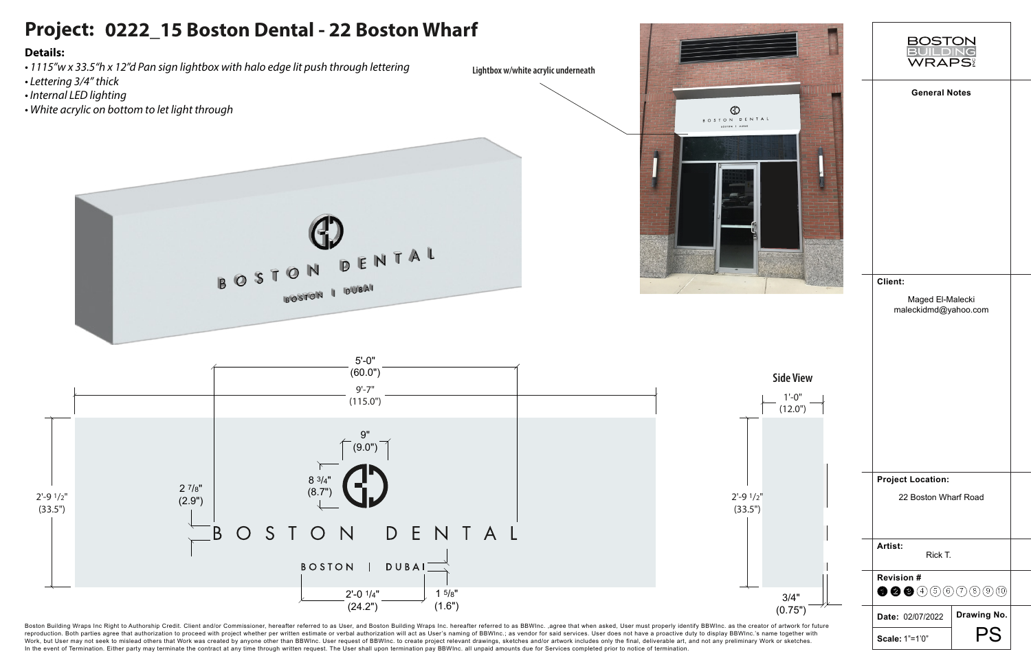

## **Project: 0222\_15 Boston Dental - 22 Boston Wharf Details:** *• 1115"w x 33.5"h x 12"d Pan sign lightbox with halo edge lit push through lettering* **Lightbox w/white acrylic underneath** *• Lettering 3/4" thick • Internal LED lighting • White acrylic on bottom to let light through* **GD** BOSTON DENTAL BOSTON DENTAL



BOSTON I DUBAI

Boston Building Wraps Inc Right to Authorship Credit. Client and/or Commissioner, hereafter referred to as User, and Boston Building Wraps Inc. hereafter referred to as BBWInc., agree that when asked, User must properly id reproduction. Both parties agree that authorization to proceed with project whether per written estimate or verbal authorization will act as User's naming of BBWInc.; as vendor for said services. User does not have a proac Work, but User may not seek to mislead others that Work was created by anyone other than BBWInc. User request of BBWInc. to create project relevant drawings, sketches and/or artwork includes only the final, deliverable art In the event of Termination. Either party may terminate the contract at any time through written request. The User shall upon termination pay BBWInc. all unpaid amounts due for Services completed prior to notice of termina